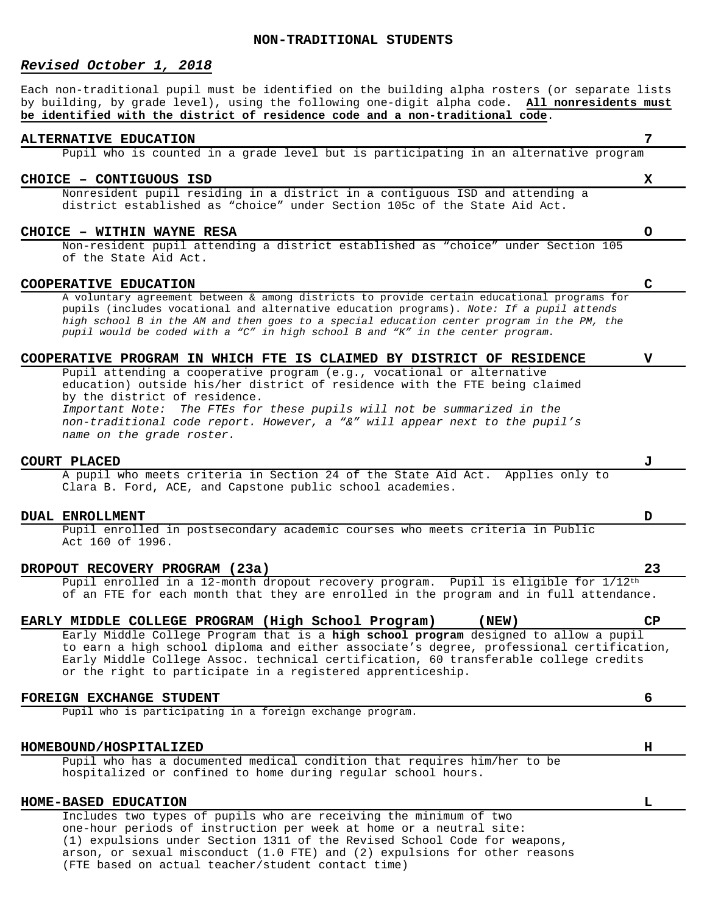## **NON-TRADITIONAL STUDENTS**

## *Revised October 1, 2018*

Each non-traditional pupil must be identified on the building alpha rosters (or separate lists by building, by grade level), using the following one-digit alpha code. **All nonresidents must be identified with the district of residence code and a non-traditional code**.

## **ALTERNATIVE EDUCATION 7**

Pupil who is counted in a grade level but is participating in an alternative program

### **CHOICE – CONTIGUOUS ISD X**

Nonresident pupil residing in a district in a contiguous ISD and attending a district established as "choice" under Section 105c of the State Aid Act.

## **CHOICE – WITHIN WAYNE RESA O**

Non-resident pupil attending a district established as "choice" under Section 105 of the State Aid Act.

## **COOPERATIVE EDUCATION C**

A voluntary agreement between & among districts to provide certain educational programs for pupils (includes vocational and alternative education programs). *Note: If a pupil attends high school B in the AM and then goes to a special education center program in the PM, the pupil would be coded with a "C" in high school B and "K" in the center program.*

## **COOPERATIVE PROGRAM IN WHICH FTE IS CLAIMED BY DISTRICT OF RESIDENCE V**

Pupil attending a cooperative program (e.g., vocational or alternative education) outside his/her district of residence with the FTE being claimed by the district of residence. *Important Note: The FTEs for these pupils will not be summarized in the non-traditional code report. However, a "&" will appear next to the pupil's name on the grade roster.*

**COURT PLACED J** A pupil who meets criteria in Section 24 of the State Aid Act. Clara B. Ford, ACE, and Capstone public school academies.

### **DUAL ENROLLMENT D**

Pupil enrolled in postsecondary academic courses who meets criteria in Public Act 160 of 1996.

# **DROPOUT RECOVERY PROGRAM (23a) 23** Pupil enrolled in a 12-month dropout recovery program. Pupil is eligible for 1/12th of an FTE for each month that they are enrolled in the program and in full attendance.

|  | EARLY MIDDLE COLLEGE PROGRAM (High School Program)          |  | (NEW)                                                                                | <b>CP</b>                                                                                |
|--|-------------------------------------------------------------|--|--------------------------------------------------------------------------------------|------------------------------------------------------------------------------------------|
|  |                                                             |  | Early Middle College Program that is a high school program designed to allow a pupil |                                                                                          |
|  |                                                             |  |                                                                                      | to earn a high school diploma and either associate's degree, professional certification, |
|  |                                                             |  | Early Middle College Assoc. technical certification, 60 transferable college credits |                                                                                          |
|  | or the right to participate in a registered apprenticeship. |  |                                                                                      |                                                                                          |
|  |                                                             |  |                                                                                      |                                                                                          |

## **FOREIGN EXCHANGE STUDENT 6**

Pupil who is participating in a foreign exchange program.

## **HOMEBOUND/HOSPITALIZED H**

Pupil who has a documented medical condition that requires him/her to be hospitalized or confined to home during regular school hours.

## **HOME-BASED EDUCATION L**

Includes two types of pupils who are receiving the minimum of two one-hour periods of instruction per week at home or a neutral site: (1) expulsions under Section 1311 of the Revised School Code for weapons, arson, or sexual misconduct (1.0 FTE) and (2) expulsions for other reasons (FTE based on actual teacher/student contact time)